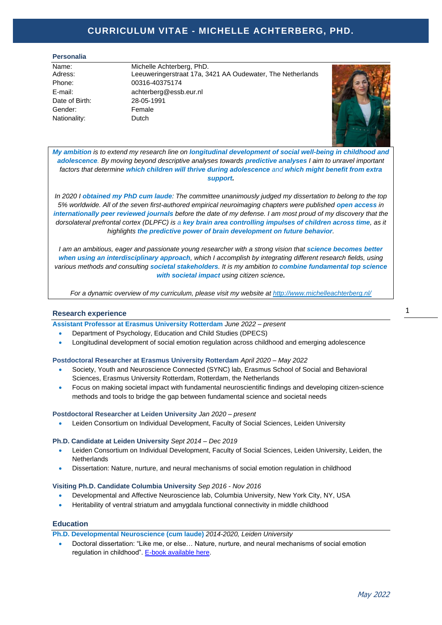# **Curriculum Vitae - Michelle Achterberg, PhD. CURRICULUM VITAE - MICHELLE ACHTERBERG, PHD.**

#### **Personalia \_**

Date of Birth: 28-05-1991 Gender: Female Nationality: Dutch

Name: Michelle Achterberg, PhD. Adress: Leeuweringerstraat 17a, 3421 AA Oudewater, The Netherlands Phone: 00316-40375174 E-mail: achterberg@essb.eur.nl



*My ambition is to extend my research line on longitudinal development of social well-being in childhood and adolescence. By moving beyond descriptive analyses towards predictive analyses I aim to unravel important factors that determine which children will thrive during adolescence and which might benefit from extra support.* 

*In 2020 I obtained my PhD cum laude: The committee unanimously judged my dissertation to belong to the top 5% worldwide. All of the seven first-authored empirical neuroimaging chapters were published open access in internationally peer reviewed journals before the date of my defense. I am most proud of my discovery that the dorsolateral prefrontal cortex (DLPFC) is a key brain area controlling impulses of children across time, as it highlights the predictive power of brain development on future behavior.* 

*I am an ambitious, eager and passionate young researcher with a strong vision that science becomes better when using an interdisciplinary approach, which I accomplish by integrating different research fields, using various methods and consulting societal stakeholders. It is my ambition to combine fundamental top science with societal impact using citizen science.* 

*For a dynamic overview of my curriculum, please visit my website at<http://www.michelleachterberg.nl/>*

# **Research experience \_**

**Assistant Professor at Erasmus University Rotterdam** *June 2022 – present*

- Department of Psychology, Education and Child Studies (DPECS)
- Longitudinal development of social emotion regulation across childhood and emerging adolescence

### **Postdoctoral Researcher at Erasmus University Rotterdam** *April 2020 – May 2022*

- Society, Youth and Neuroscience Connected (SYNC) lab, Erasmus School of Social and Behavioral Sciences, Erasmus University Rotterdam, Rotterdam, the Netherlands
- Focus on making societal impact with fundamental neuroscientific findings and developing citizen-science methods and tools to bridge the gap between fundamental science and societal needs

#### **Postdoctoral Researcher at Leiden University** *Jan 2020 – present*

• Leiden Consortium on Individual Development, Faculty of Social Sciences, Leiden University

### **Ph.D. Candidate at Leiden University** *Sept 2014 – Dec 2019*

- Leiden Consortium on Individual Development, Faculty of Social Sciences, Leiden University, Leiden, the **Netherlands**
- Dissertation: Nature, nurture, and neural mechanisms of social emotion regulation in childhood

### **Visiting Ph.D. Candidate Columbia University** *Sep 2016 - Nov 2016*

- Developmental and Affective Neuroscience lab, Columbia University, New York City, NY, USA
- Heritability of ventral striatum and amygdala functional connectivity in middle childhood

# **Education**

**Ph.D. Developmental Neuroscience (cum laude)** *2014-2020, Leiden University* 

• Doctoral dissertation: "Like me, or else… Nature, nurture, and neural mechanisms of social emotion regulation in childhood". [E-book available here.](http://my-thesis.info/PDF/Achterberg/mobile/index.html)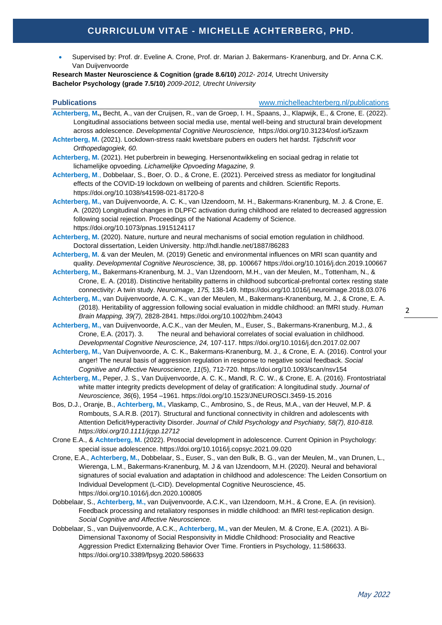• Supervised by: Prof. dr. Eveline A. Crone, Prof. dr. Marian J. Bakermans- Kranenburg, and Dr. Anna C.K. Van Duijvenvoorde

**Research Master Neuroscience & Cognition (grade 8.6/10)** *2012- 2014,* Utrecht University **Bachelor Psychology (grade 7.5/10)** *2009-2012, Utrecht University*

# **Publications** [www.michelleachterberg.nl/publications](http://www.michelleachterberg.nl/publications)

- **Achterberg, M.,** Becht, A., van der Cruijsen, R., van de Groep, I. H., Spaans, J., Klapwijk, E., & Crone, E. (2022). Longitudinal associations between social media use, mental well-being and structural brain development across adolescence. *Developmental Cognitive Neuroscience,* <https://doi.org/10.31234/osf.io/5zaxm>
- **Achterberg, M.** (2021). Lockdown-stress raakt kwetsbare pubers en ouders het hardst. *Tijdschrift voor Orthopedagogiek, 60.*
- **Achterberg, M.** (2021). Het puberbrein in beweging. Hersenontwikkeling en sociaal gedrag in relatie tot lichamelijke opvoeding. *Lichamelijke Opvoeding Magazine, 9.*

**Achterberg, M**., Dobbelaar, S., Boer, O. D., & Crone, E. (2021). Perceived stress as mediator for longitudinal effects of the COVID-19 lockdown on wellbeing of parents and children. Scientific Reports. <https://doi.org/10.1038/s41598-021-81720-8>

**Achterberg, M.,** van Duijvenvoorde, A. C. K., van IJzendoorn, M. H., Bakermans-Kranenburg, M. J. & Crone, E. A. (2020) Longitudinal changes in DLPFC activation during childhood are related to decreased aggression following social rejection. Proceedings of the National Academy of Science. <https://doi.org/10.1073/pnas.1915124117>

**Achterberg, M.** (2020). Nature, nurture and neural mechanisms of social emotion regulation in childhood. Doctoral dissertation, Leiden University.<http://hdl.handle.net/1887/86283>

- **Achterberg, M.** & van der Meulen, M. (2019) Genetic and environmental influences on MRI scan quantity and quality. *Developmental Cognitive Neuroscience,* 38, pp. 100667<https://doi.org/10.1016/j.dcn.2019.100667>
- **Achterberg, M.,** Bakermans-Kranenburg, M. J., Van IJzendoorn, M.H., van der Meulen, M., Tottenham, N., & Crone, E. A. (2018). Distinctive heritability patterns in childhood subcortical-prefrontal cortex resting state connectivity: A twin study. *Neuroimage, 175,* 138-149.<https://doi.org/10.1016/j.neuroimage.2018.03.076>
- **Achterberg, M.,** van Duijvenvoorde, A. C. K., van der Meulen, M., Bakermans-Kranenburg, M. J., & Crone, E. A. (2018). Heritability of aggression following social evaluation in middle childhood: an fMRI study. *Human Brain Mapping, 39(7),* 2828-2841.<https://doi.org/10.1002/hbm.24043>
- **Achterberg, M.,** van Duijvenvoorde, A.C.K., van der Meulen, M., Euser, S., Bakermans-Kranenburg, M.J., & Crone, E.A. (2017). 3. The neural and behavioral correlates of social evaluation in childhood. *Developmental Cognitive Neuroscience, 24,* 107-117.<https://doi.org/10.1016/j.dcn.2017.02.007>
- **Achterberg, M.,** Van Duijvenvoorde, A. C. K., Bakermans-Kranenburg, M. J., & Crone, E. A. (2016). Control your anger! The neural basis of aggression regulation in response to negative social feedback. *Social Cognitive and Affective Neuroscience, 11*(5), 712-720.<https://doi.org/10.1093/scan/nsv154>
- **Achterberg, M.,** Peper, J. S., Van Duijvenvoorde, A. C. K., Mandl, R. C. W., & Crone, E. A. (2016). Frontostriatal white matter integrity predicts development of delay of gratification: A longitudinal study. *Journal of Neuroscience, 36*(6), 1954 –1961[. https://doi.org/10.1523/JNEUROSCI.3459-15.2016](https://doi.org/10.1523/JNEUROSCI.3459-15.2016)
- Bos, D.J., Oranje, B., **Achterberg, M.,** Vlaskamp, C., Ambrosino, S., de Reus, M.A., van der Heuvel, M.P. & Rombouts, S.A.R.B. (2017). Structural and functional connectivity in children and adolescents with Attention Deficit/Hyperactivity Disorder. *Journal of Child Psychology and Psychiatry, 58(7), 810-818. <https://doi.org/10.1111/jcpp.12712>*
- Crone E.A., & **Achterberg, M.** (2022). Prosocial development in adolescence. Current Opinion in Psychology: special issue adolescence. <https://doi.org/10.1016/j.copsyc.2021.09.020>
- Crone, E.A., **Achterberg, M.,** Dobbelaar, S., Euser, S., van den Bulk, B. G., van der Meulen, M., van Drunen, L., Wierenga, L.M., Bakermans-Kranenburg, M. J & van IJzendoorn, M.H. (2020). Neural and behavioral signatures of social evaluation and adaptation in childhood and adolescence: The Leiden Consortium on Individual Development (L-CID). Developmental Cognitive Neuroscience, 45. <https://doi.org/10.1016/j.dcn.2020.100805>
- Dobbelaar, S., **Achterberg, M.,** van Duijvenvoorde, A.C.K., van IJzendoorn, M.H., & Crone, E.A. (in revision). Feedback processing and retaliatory responses in middle childhood: an fMRI test-replication design. *Social Cognitive and Affective Neuroscience.*
- Dobbelaar, S., van Duijvenvoorde, A.C.K., **Achterberg, M.,** van der Meulen, M. & Crone, E.A. (2021). A Bi-Dimensional Taxonomy of Social Responsivity in Middle Childhood: Prosociality and Reactive Aggression Predict Externalizing Behavior Over Time. Frontiers in Psychology, 11:586633. <https://doi.org/10.3389/fpsyg.2020.586633>

2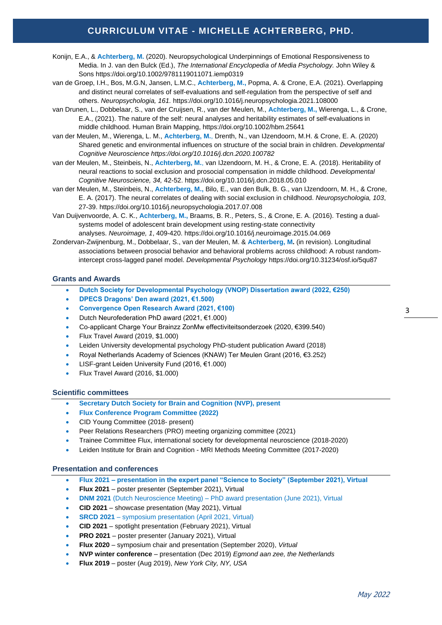# **Curriculum Vitae - Michelle Achterberg, PhD. CURRICULUM VITAE - MICHELLE ACHTERBERG, PHD.**

- Konijn, E.A., & **Achterberg, M.** (2020). Neuropsychological Underpinnings of Emotional Responsiveness to Media. In J. van den Bulck (Ed.), *The International Encyclopedia of Media Psychology.* John Wiley & Sons<https://doi.org/10.1002/9781119011071.iemp0319>
- van de Groep, I.H., Bos, M.G.N, Jansen, L.M.C., **Achterberg, M.,** Popma, A. & Crone, E.A. (2021). Overlapping and distinct neural correlates of self-evaluations and self-regulation from the perspective of self and others. *Neuropsychologia, 161.* <https://doi.org/10.1016/j.neuropsychologia.2021.108000>
- van Drunen, L., Dobbelaar, S., van der Cruijsen, R., van der Meulen, M., **Achterberg, M.,** Wierenga, L., & Crone, E.A., (2021). The nature of the self: neural analyses and heritability estimates of self-evaluations in middle childhood. Human Brain Mapping,<https://doi.org/10.1002/hbm.25641>
- van der Meulen, M., Wierenga, L. M., **Achterberg, M.**, Drenth, N., van IJzendoorn, M.H. & Crone, E. A. (2020) Shared genetic and environmental influences on structure of the social brain in children. *Developmental Cognitive Neuroscienc[e https://doi.org/10.1016/j.dcn.2020.100782](https://doi.org/10.1016/j.dcn.2020.100782)*
- van der Meulen, M., Steinbeis, N., **Achterberg, M.**, van IJzendoorn, M. H., & Crone, E. A. (2018). Heritability of neural reactions to social exclusion and prosocial compensation in middle childhood. *Developmental Cognitive Neuroscience, 34,* 42-52.<https://doi.org/10.1016/j.dcn.2018.05.010>
- van der Meulen, M., Steinbeis, N., **Achterberg, M.,** Bilo, E., van den Bulk, B. G., van IJzendoorn, M. H., & Crone, E. A. (2017). The neural correlates of dealing with social exclusion in childhood. *Neuropsychologia, 103*, 27-39.<https://doi.org/10.1016/j.neuropsychologia.2017.07.008>
- Van Duijvenvoorde, A. C. K., **Achterberg, M.,** Braams, B. R., Peters, S., & Crone, E. A. (2016). Testing a dualsystems model of adolescent brain development using resting-state connectivity analyses. *Neuroimage, 1*, 409-420[. https://doi.org/10.1016/j.neuroimage.2015.04.069](https://doi.org/10.1016/j.neuroimage.2015.04.069)
- Zondervan-Zwijnenburg, M., Dobbelaar, S., van der Meulen, M. & **Achterberg, M.** (in revision). Longitudinal associations between prosocial behavior and behavioral problems across childhood: A robust randomintercept cross-lagged panel model. *Developmental Psychology* <https://doi.org/10.31234/osf.io/5qu87>

# **Grants and Awards**

- **Dutch Society for Developmental Psychology (VNOP) Dissertation award (2022, €250)**
- **DPECS Dragons' Den award (2021, €1.500)**
- **Convergence Open Research Award (2021, €100)**
- Dutch Neurofederation PhD award (2021, €1.000)
- Co-applicant Charge Your Brainzz ZonMw effectiviteitsonderzoek (2020, €399.540)
- Flux Travel Award (2019, \$1.000)
- Leiden University developmental psychology PhD-student publication Award (2018)
- Royal Netherlands Academy of Sciences (KNAW) Ter Meulen Grant (2016, €3.252)
- LISF-grant Leiden University Fund (2016, €1.000)
- Flux Travel Award (2016, \$1.000)

### **Scientific committees**

- **Secretary Dutch Society for Brain and Cognition (NVP), present**
- **Flux Conference Program Committee (2022)**
- CID Young Committee (2018- present)
- Peer Relations Researchers (PRO) meeting organizing committee (2021)
- Trainee Committee Flux, international society for developmental neuroscience (2018-2020)
- Leiden Institute for Brain and Cognition MRI Methods Meeting Committee (2017-2020)

### **Presentation and conferences**

- **Flux 2021 – presentation in the expert panel "Science to Society" (September 2021), Virtual**
- **Flux 2021** poster presenter (September 2021), Virtual
- **DNM 2021** (Dutch Neuroscience Meeting) PhD award presentation (June 2021), Virtual
- **CID 2021** showcase presentation (May 2021), Virtual
- **SRCD 2021** symposium presentation (April 2021, Virtual)
- **CID 2021** spotlight presentation (February 2021), Virtual
- **PRO 2021** poster presenter (January 2021), Virtual
- **Flux 2020** symposium chair and presentation (September 2020), *Virtual*
- **NVP winter conference** presentation (Dec 2019) *Egmond aan zee, the Netherlands*
- **Flux 2019** poster (Aug 2019), *New York City, NY, USA*

May 2022

3